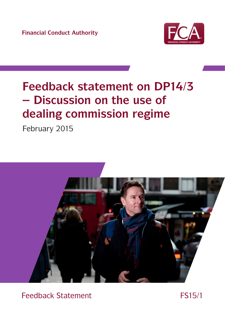**Financial Conduct Authority**



# **Feedback statement on DP14/3 – Discussion on the use of dealing commission regime**

February 2015



Consultation Paper CPXX/XX Feedback Statement FS15/1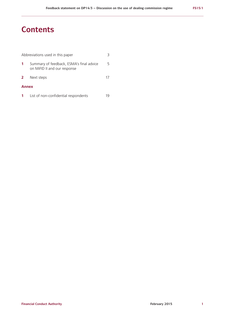### **Contents**

| Abbreviations used in this paper |                                                                          |    |
|----------------------------------|--------------------------------------------------------------------------|----|
| -1                               | Summary of feedback, ESMA's final advice<br>on MiFID II and our response | 5. |
| $\mathbf{2}$                     | Next steps                                                               | 17 |
| <b>Annex</b>                     |                                                                          |    |
|                                  | List of non-confidential respondents                                     |    |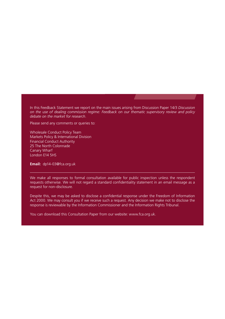In this Feedback Statement we report on the main issues arising from Discussion Paper 14/3 *Discussion on the use of dealing commission regime: Feedback on our thematic supervisory review and policy debate on the market for research*.

Please send any comments or queries to:

Wholesale Conduct Policy Team Markets Policy & International Division Financial Conduct Authority 25 The North Colonnade Canary Wharf London E14 5HS

**Email:** [dp14-03@fca.org.uk](mailto:dp14-03@fca.org.uk)

We make all responses to formal consultation available for public inspection unless the respondent requests otherwise. We will not regard a standard confidentiality statement in an email message as a request for non-disclosure.

Despite this, we may be asked to disclose a confidential response under the Freedom of Information Act 2000. We may consult you if we receive such a request. Any decision we make not to disclose the response is reviewable by the Information Commissioner and the Information Rights Tribunal.

You can download this Consultation Paper from our website: www.fca.org.uk.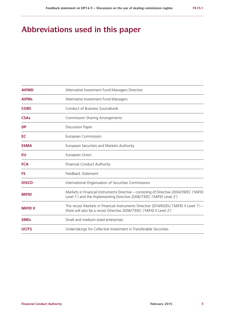## **Abbreviations used in this paper**

| <b>AIFMD</b>    | Alternative Investment Fund Managers Directive                                                                                                                   |  |
|-----------------|------------------------------------------------------------------------------------------------------------------------------------------------------------------|--|
| <b>AIFMs</b>    | Alternative Investment Fund Managers                                                                                                                             |  |
| <b>COBS</b>     | Conduct of Business Sourcebook                                                                                                                                   |  |
| <b>CSAs</b>     | <b>Commission Sharing Arrangements</b>                                                                                                                           |  |
| <b>DP</b>       | <b>Discussion Paper</b>                                                                                                                                          |  |
| EC              | European Commission                                                                                                                                              |  |
| <b>ESMA</b>     | European Securities and Markets Authority                                                                                                                        |  |
| EU              | European Union                                                                                                                                                   |  |
| <b>FCA</b>      | <b>Financial Conduct Authority</b>                                                                                                                               |  |
| <b>FS</b>       | Feedback Statement                                                                                                                                               |  |
| <b>IOSCO</b>    | International Organisation of Securities Commissions                                                                                                             |  |
| <b>MiFID</b>    | Markets in Financial Instruments Directive - consisting of Directive 2004/39/EC ('MiFID<br>Level 1') and the Implementing Directive 2006/73/EC ('MiFID Level 2') |  |
| <b>MiFID II</b> | The recast Markets in Financial Instruments Directive 2014/65/EU ('MiFID II Level 1') -<br>there will also be a recast Directive 2006/73/EC ('MiFID II Level 2') |  |
| <b>SMEs</b>     | Small and medium-sized enterprises                                                                                                                               |  |
| <b>UCITS</b>    | Undertakings for Collective Investment in Transferable Securities                                                                                                |  |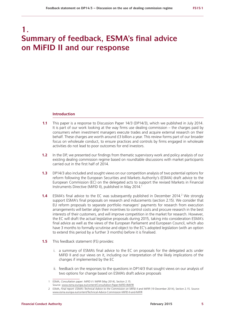### **1. Summary of feedback, ESMA's final advice on MiFID II and our response**

#### **Introduction**

- **1.1** This paper is a response to Discussion Paper 14/3 (DP14/3), which we published in July 2014. It is part of our work looking at the way firms use dealing commission – the charges paid by consumers when investment managers execute trades and acquire external research on their behalf. These charges are worth around £3 billion a year. This review forms part of our broader focus on wholesale conduct, to ensure practices and controls by firms engaged in wholesale activities do not lead to poor outcomes for end investors.
- **1.2** In the DP, we presented our findings from thematic supervisory work and policy analysis of our existing dealing commission regime based on roundtable discussions with market participants carried out in the first half of 2014.
- **1.3** DP14/3 also included and sought views on our competition analysis of two potential options for reform following the European Securities and Markets Authority's (ESMA) draft advice to the European Commission (EC) on the delegated acts to support the revised Markets in Financial Instruments Directive (MiFID II), published in May 2014.<sup>1</sup>
- **1.4** ESMA's final advice to the EC was subsequently published in December 2014.<sup>2</sup> We strongly support ESMA's final proposals on research and inducements (section 2.15). We consider that EU reform proposals to separate portfolio managers' payments for research from execution arrangements will better align their incentives to control costs and procure research in the best interests of their customers, and will improve competition in the market for research. However, the EC will draft the actual legislative proposals during 2015, taking into consideration ESMA's final advice as well as the views of the European Parliament and European Council, which also have 3 months to formally scrutinise and object to the EC's adopted legislation (with an option to extend this period by a further 3 months) before it is finalised.
- **1.5** This feedback statement (FS) provides:
	- i. a summary of ESMA's final advice to the EC on proposals for the delegated acts under MiFID II and our views on it, including our interpretation of the likely implications of the changes if implemented by the EC
	- ii. feedback on the responses to the questions in DP14/3 that sought views on our analysis of two options for change based on ESMA's draft advice proposals

<sup>1</sup> ESMA, *Consultation paper: MiFID II / MiFIR* (May 2014), Section 2.15. Source: [www.esma.europa.eu/content/Consultation-Paper-MiFID-IIMiFIR](http://www.esma.europa.eu/content/Consultation-Paper-MiFID-IIMiFIR)

<sup>2</sup> ESMA, *Final report: ESMA's Technical Advice to the Commission on MiFID II and MiFIR* (19 December 2014), Section 2.15. Source: [www.esma.europa.eu/content/Technical-Advice-Commission-MiFID-II-and-MiFIR](file:///Users/clairemackessy/Desktop/5016-FS%20-%20Dealing%20commission/1%20Source/www.esma.europa.eu/content/Technical-Advice-Commission-MiFID-II-and-MiFIR)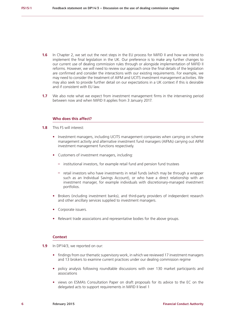- **1.6** In Chapter 2, we set out the next steps in the EU process for MiFID II and how we intend to implement the final legislation in the UK. Our preference is to make any further changes to our current use of dealing commission rules through or alongside implementation of MiFID II reforms. However, we will need to review our approach once the final details of the legislation are confirmed and consider the interactions with our existing requirements. For example, we may need to consider the treatment of AIFM and UCITS investment management activities. We may also seek to provide further detail on our expectations in a UK context if this is desirable and if consistent with EU law.
- **1.7** We also note what we expect from investment management firms in the intervening period between now and when MiFID II applies from 3 January 2017.

#### **Who does this affect?**

- **1.8** This FS will interest:
	- **•** Investment managers, including UCITS management companies when carrying on scheme management activity and alternative investment fund managers (AIFMs) carrying out AIFM investment management functions respectively.
	- **•** Customers of investment managers, including:
		- **–** institutional investors, for example retail fund and pension fund trustees
		- **–** retail investors who have investments in retail funds (which may be through a wrapper such as an Individual Savings Account), or who have a direct relationship with an investment manager, for example individuals with discretionary-managed investment portfolios.
	- **•** Brokers (including investment banks), and third-party providers of independent research and other ancillary services supplied to investment managers.
	- **•** Corporate issuers.
	- **•** Relevant trade associations and representative bodies for the above groups.

#### **Context**

- **1.9** In DP14/3, we reported on our:
	- **•** findings from our thematic supervisory work, in which we reviewed 17 investment managers and 13 brokers to examine current practices under our dealing commission regime
	- **•** policy analysis following roundtable discussions with over 130 market participants and associations
	- **•** views on ESMA's Consultation Paper on draft proposals for its advice to the EC on the delegated acts to support requirements in MiFID II level 1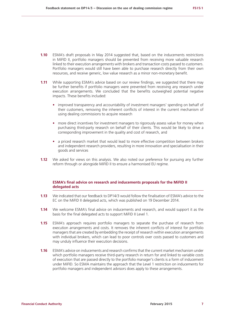- **1.10** ESMA's draft proposals in May 2014 suggested that, based on the inducements restrictions in MiFID II, portfolio managers should be prevented from receiving more valuable research linked to their execution arrangements with brokers and transaction costs passed to customers. Portfolio managers would still have been able to purchase research directly from their own resources, and receive generic, low value research as a minor non-monetary benefit.
- **1.11** While supporting ESMA's advice based on our review findings, we suggested that there may be further benefits if portfolio managers were prevented from receiving any research under execution arrangements. We concluded that the benefits outweighed potential negative impacts. These benefits included:
	- **•** improved transparency and accountability of investment managers' spending on behalf of their customers, removing the inherent conflicts of interest in the current mechanism of using dealing commissions to acquire research
	- more direct incentives for investment managers to rigorously assess value for money when purchasing third-party research on behalf of their clients. This would be likely to drive a corresponding improvement in the quality and cost of research, and
	- **•** a priced research market that would lead to more effective competition between brokers and independent research providers, resulting in more innovation and specialisation in their goods and services
- **1.12** We asked for views on this analysis. We also noted our preference for pursuing any further reform through or alongside MiFID II to ensure a harmonised EU regime.

#### **ESMA's final advice on research and inducements proposals for the MiFID II delegated acts**

- **1.13** We indicated that our feedback to DP14/3 would follow the finalisation of ESMA's advice to the EC on the MiFID II delegated acts, which was published on 19 December 2014.
- **1.14** We welcome ESMA's final advice on inducements and research, and would support it as the basis for the final delegated acts to support MiFID II Level 1.
- **1.15** ESMA's approach requires portfolio managers to separate the purchase of research from execution arrangements and costs. It removes the inherent conflicts of interest for portfolio managers that are created by embedding the receipt of research within execution arrangements with individual brokers, which can lead to poor controls over costs passed to customers and may unduly influence their execution decisions.
- **1.16** ESMA's advice on inducements and research confirms that the current market mechanism under which portfolio managers receive third-party research in return for and linked to variable costs of execution that are passed directly to the portfolio manager's clients is a form of inducement under MiFID. So ESMA maintains the approach that the Level 1 restriction on inducements for portfolio managers and independent advisors does apply to these arrangements.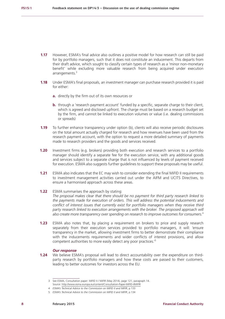- **1.17** However, ESMA's final advice also outlines a positive model for how research can still be paid for by portfolio managers, such that it does not constitute an inducement. This departs from their draft advice, which sought to classify certain types of research as a 'minor non-monetary benefit' while excluding more valuable research from being acquired under execution arrangements.<sup>3</sup>
- **1.18** Under ESMA's final proposals, an investment manager can purchase research provided it is paid for either:
	- **a.** directly by the firm out of its own resources or
	- **b.** through a 'research payment account' funded by a specific, separate charge to their client, which is agreed and disclosed upfront. The charge must be based on a research budget set by the firm, and cannot be linked to execution volumes or value (i.e. dealing commissions or spreads)
- **1.19** To further enhance transparency under option (b), clients will also receive periodic disclosures on the total amount actually charged for research and how revenues have been used from the research payment account, with the option to request a more detailed summary of payments made to research providers and the goods and services received.
- **1.20** Investment firms (e.g. brokers) providing both execution and research services to a portfolio manager should identify a separate fee for the execution service, with any additional goods and services subject to a separate charge that is not influenced by levels of payment received for execution. ESMA also suggests further guidelines to support these proposals may be useful.
- **1.21** ESMA also indicates that the EC may wish to consider extending the final MiFID II requirements to investment management activities carried out under the AIFM and UCITS Directives, to ensure a harmonised approach across these areas.
- **1.22** ESMA summarises the approach by stating: *The proposal makes clear that there should be no payment for third party research linked to the payments made for execution of orders. This will address the potential inducements and conflict of interest issues that currently exist for portfolio managers when they receive third*  party research linked to execution arrangements with the broker. The proposed approach will *also create more transparency over spending on research to improve outcomes for consumers.*<sup>4</sup>
- **1.23** ESMA also notes that, by placing a requirement on brokers to price and supply research separately from their execution services provided to portfolio managers, it will: 'ensure transparency in the market, allowing investment firms to better demonstrate their compliance with the inducements requirements and wider conflicts of interest provisions, and allow competent authorities to more easily detect any poor practices.'<sup>5</sup>

#### *Our response*

**1.24** We believe ESMA's proposal will lead to direct accountability over the expenditure on thirdparty research by portfolio managers and how these costs are passed to their customers, leading to better outcomes for investors across the EU.

<sup>3</sup> See ESMA, Consultation paper: MiFID II / MiFIR (May 2014), page 121, paragraph 14. Source: <http://www.esma.europa.eu/content/Consultation-Paper-MiFID-IIMiFIR>

<sup>4</sup> *ESMA's Technical Advice to the Commission on MiFID II and MiFIR*, p.133

<sup>5</sup> *ESMA's Technical Advice to the Commission on MiFID II and MiFIR*, p.134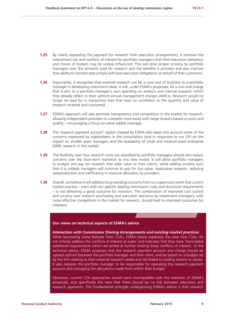- **1.25** By clearly separating the payment for research from execution arrangements, it removes the inducement risk and conflicts of interest for portfolio managers that their execution behaviour and choice of brokers may be unduly influenced. This will drive proper scrutiny by portfolio managers over the amounts paid for research and the benefits it provides and also improve their ability to monitor and comply with best execution obligations on behalf of their customers.
- **1.26** Importantly, it recognises that external research can be a core cost of business to a portfolio manager in developing investment ideas. It will, under ESMA's proposals, be a cost and charge that is akin to a portfolio manager's own spending on analysts and internal research, which they already reflect in their upfront annual management charges (AMCs). Research would no longer be paid for in transaction fees that have no correlation to the quantity and value of research received and consumed.
- **1.27** ESMA's approach will also promote transparency and competition in the market for research, allowing independent providers to compete more easily with larger brokers based on price and quality – encouraging a focus on value-added coverage.
- **1.28** The 'research payment account' option created by ESMA also takes into account some of the concerns expressed by stakeholders in the consultation (and in responses to our DP) on the impact on smaller asset managers and the availability of small and medium-sized enterprise (SME) research in the market.
- **1.29** The flexibility over how research costs are absorbed by portfolio managers should also reduce concerns over the short-term transition to this new model. It will allow portfolio managers to budget and pay for research that adds value to their clients, while adding scrutiny such that it is unlikely managers will continue to pay for low value, duplicative research, reducing overproduction and inefficiency in resource allocation by providers.
- **1.30** Overall, we believe it will address long-standing concerns from our supervisory work that current market practice – even with our specific dealing commission rules and disclosure requirements – is not delivering a good outcome for investors. The combination of improved cost control and scrutiny over research purchasing and execution decisions by investment managers, with more effective competition in the market for research, should lead to improved outcomes for investors.

#### **Our views on technical aspects of ESMA's advice**

#### *Interaction with Commission Sharing Arrangements and existing market practices*

While borrowing some features from CSAs, ESMA clearly expresses the view that CSAs 'do not entirely address the conflicts of interest at stake' and indicates that they have 'formulated additional requirements which are aimed at further limiting these conflicts of interest.' In the technical advice, ESMA proposes that the research payment account and charge should be agreed upfront between the portfolio manager and their client, and be based on a budget set by the firm relating to their external research needs and not linked to trading volume or values. It also requires the portfolio manager to be responsible for operating the research payment account and managing the allocations made from within their budget.

Moreover, current CSA approaches would seem incompatible with the intention of ESMA's proposals, and specifically the view that there should be no link between execution and research payments. The fundamental principle underpinning ESMA's advice is that research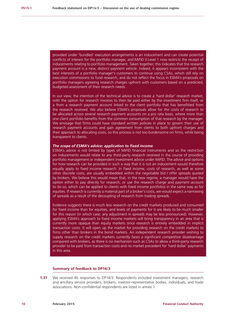provided under 'bundled' execution arrangements is an inducement and can create potential conflicts of interest for the portfolio manager, and MiFID II Level 1 now restricts the receipt of inducements relating to portfolio management. Taken together, this indicates that the research payment account is a new, distinct payment vehicle. Indeed, it appears inconsistent with the best interests of a portfolio manager's customers to continue using CSAs, which still rely on execution commissions to fund research, and do not reflect the focus in ESMA's proposals on portfolio managers agreeing research charges upfront with customers based on a predicted, budgeted assessment of their research needs.

In our view, the intention of the technical advice is to create a 'hard dollar' research market, with the option for research invoices to then be paid either by the investment firm itself, or a from a research payment account linked to the client portfolio that has benefitted from the research received. We also believe ESMA's proposals allow for the costs of research to be allocated across several research payment accounts on a pro rata basis, where more than one client portfolio benefits from the common consumption of that research by the manager. We envisage that firms could have standard written policies in place to govern their use of research payment accounts and gain agreement from clients to both upfront charges and their approach to allocating costs, so this process is not too burdensome on firms, while being transparent to clients.

#### *The scope of ESMA's advice: application to fixed income*

ESMA's advice is not limited by types of MiFID financial instruments and so the restriction on inducements would relate to any third-party research received in the course of providing portfolio management or independent investment advice under MiFID. The advice and options for how research can be provided in such a way that it is not an inducement would therefore equally apply to fixed income research. In fixed income, costs of research, as well as some other discrete costs, are usually embedded within the negotiable bid / offer spreads quoted by brokers. We believe this would mean that, in the new regime, a manager would have the option either to pay directly for research, or use the research charge and payment account to do so, which can be applied to clients with fixed income portfolios in the same way as for equities. If research is currently a material part of a broker's costs, we would expect a narrowing of spreads as a result of the decoupling of research from trading spreads.

Evidence suggests there is much less research on the credit markets produced and consumed for fixed income than for equities, and levels of payments for it are likely to be much smaller for this reason (in which case, any adjustment in spreads may be less pronounced). However, applying ESMA's approach to fixed income markets will bring transparency in an area that is currently more opaque than equity markets since research is entirely embedded in implicit transaction costs. It will open up the market for providing research on the credit markets to firms other than brokers in the bond markets. An independent research provider wishing to supply research on the credit markets currently faces a significant competitive disadvantage compared with brokers, as there is no mechanism such as CSAs to allow a third-party research provider to be paid from transaction costs and no market precedent for 'hard dollar' payments in this area.

#### **Summary of feedback to DP14/3**

**1.31** We received 46 responses to DP14/3. Respondents included investment managers, research and ancillary service providers, brokers, investor-representative bodies, individuals, and trade associations. Non-confidential respondents are listed in annex 1.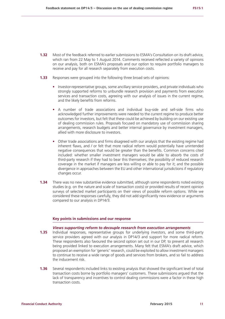- **1.32** Most of the feedback referred to earlier submissions to ESMA's Consultation on its draft advice, which ran from 22 May to 1 August 2014. Comments received reflected a variety of opinions on our analysis, both on ESMA's proposals and our option to require portfolio managers to receive and pay for all research separately from execution costs.
- **1.33** Responses were grouped into the following three broad sets of opinions:
	- **•** Investor-representative groups, some ancillary service providers, and private individuals who strongly supported reforms to unbundle research provision and payments from execution services and transaction costs, agreeing with our analysis of issues in the current regime, and the likely benefits from reforms.
	- **•** A number of trade associations and individual buy-side and sell-side firms who acknowledged further improvements were needed to the current regime to produce better outcomes for investors, but felt that these could be achieved by building on our existing use of dealing commission rules. Proposals focused on mandatory use of commission sharing arrangements, research budgets and better internal governance by investment managers, allied with more disclosure to investors.
	- Other trade associations and firms disagreed with our analysis that the existing regime had inherent flaws, and / or felt that more radical reform would potentially have unintended negative consequences that would be greater than the benefits. Common concerns cited included: whether smaller investment managers would be able to absorb the costs of third-party research if they had to bear this themselves; the possibility of reduced research coverage in the market if managers are less willing or able to pay for it; and the possible divergence in approaches between the EU and other international jurisdictions if regulatory changes occur.
- **1.34** There was no new substantive evidence submitted, although some respondents noted existing studies (e.g. on the nature and scale of transaction costs) or provided results of recent opinion surveys of selected market participants on their views of possible reform options. While we considered these responses carefully, they did not add significantly new evidence or arguments compared to our analysis in DP14/3.

#### **Key points in submissions and our response**

#### *Views supporting reform to decouple research from execution arrangements*

- **1.35** Individual responses, representative groups for underlying investors, and some third-party service providers agreed with our analysis in DP14/3 and support for more radical reform. These respondents also favoured the second option set out in our DP, to prevent all research being provided linked to execution arrangements. Many felt that ESMA's draft advice, which proposed an exemption for 'generic' research, could be exploited to allow investment managers to continue to receive a wide range of goods and services from brokers, and so fail to address the inducement risk.
- **1.36** Several respondents included links to existing analysis that showed the significant level of total transaction costs borne by portfolio managers' customers. These submissions argued that the lack of transparency and incentives to control dealing commissions were a factor in these high transaction costs.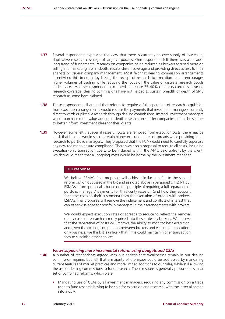- **1.37** Several respondents expressed the view that there is currently an over-supply of low value, duplicative research coverage of large corporates. One respondent felt there was a decadelong trend of fundamental research on companies being reduced as brokers focused more on selling and marketing less in-depth, results-driven coverage and providing direct access to their analysts or issuers' company management. Most felt that dealing commission arrangements incentivised this trend, as by linking the receipt of research to execution fees it encourages higher volumes of trading while reducing the focus on the value of discrete research goods and services. Another respondent also noted that since 35-40% of stocks currently have no research coverage, dealing commissions have not helped to sustain breadth or depth of SME research as some have claimed.
- **1.38** These respondents all argued that reform to require a full separation of research acquisition from execution arrangements would reduce the payments that investment managers currently direct towards duplicative research through dealing commissions. Instead, investment managers would purchase more value-added, in-depth research on smaller companies and niche sectors to better inform investment ideas for their clients.
- **1.39** However, some felt that even if research costs are removed from execution costs, there may be a risk that brokers would seek to retain higher execution rates or spreads while providing 'free' research to portfolio managers. They proposed that the FCA would need to carefully supervise any new regime to ensure compliance. There was also a proposal to require all costs, including execution-only transaction costs, to be included within the AMC paid upfront by the client, which would mean that all ongoing costs would be borne by the investment manager.

#### **Our response**

We believe ESMA's final proposals will achieve similar benefits to the second reform option discussed in the DP, and as noted above in paragraphs 1.24-1.30. ESMA's reform proposal is based on the principle of requiring a full separation of portfolio managers' payments for third-party research (and how they account for these costs to their customers) from the execution of orders with brokers. ESMA's final proposals will remove the inducement and conflicts of interest that can otherwise arise for portfolio managers in their arrangements with brokers.

We would expect execution rates or spreads to reduce to reflect the removal of any costs of research currently priced into these rates by brokers. We believe that the separation of costs will improve the ability to monitor best execution, and given the existing competition between brokers and venues for executiononly business, we think it is unlikely that firms could maintain higher transaction fees to subsidise other services.

#### *Views supporting more incremental reform using budgets and CSAs*

- **1.40** A number of respondents agreed with our analysis that weaknesses remain in our dealing commission regime, but felt that a majority of the issues could be addressed by mandating current features of market practices and more limited additions to our rules, while still allowing the use of dealing commissions to fund research. These responses generally proposed a similar set of combined reforms, which were:
	- **•** Mandating use of CSAs by all investment managers, requiring any commission on a trade used to fund research having to be split for execution and research, with the latter allocated into a CSA;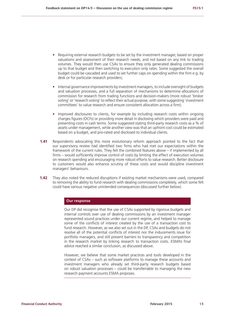- Requiring external research budgets to be set by the investment manager, based on proper valuations and assessment of their research needs, and not based on any link to trading volumes. They would then use CSAs to ensure they only generated dealing commissions up to that budget and then switching to execution only rates. Some suggested the overall budget could be cascaded and used to set further caps on spending within the firm e.g. by desk or for particular research providers;
- **•** Internal governance improvements by investment managers, to include oversight of budgets and valuation processes, and a full separation of mechanisms to determine allocations of commission for research from trading functions and decision-makers (more robust 'broker voting' or 'research voting' to reflect their actual purpose, with some suggesting 'investment committees' to value research and ensure consistent allocation across a firm).
- **•** Improved disclosures to clients, for example by including research costs within ongoing charges figures (OCFs) or providing more detail in disclosing which providers were paid and presenting costs in cash terms. Some suggested stating third-party research costs as a % of assets under management, while another view was that an upfront cost could be estimated based on a budget, and pro-rated and disclosed to individual clients.
- **1.41** Respondents advocating this more evolutionary reform approach pointed to the fact that our supervisory review had identified two firms who had met our expectations within the framework of the current rules. They felt the combined features above – if implemented by all firms – would sufficiently improve control of costs by limiting the effect of execution volumes on research spending and encouraging more robust efforts to value research. Better disclosure to customers would also enhance scrutiny of these costs and would discipline investment managers' behaviours.
- **1.42** They also noted the reduced disruptions if existing market mechanisms were used, compared to removing the ability to fund research with dealing commissions completely, which some felt could have various negative unintended consequences (discussed further below).

#### **Our response**

Our DP did recognise that the use of CSAs supported by rigorous budgets and internal controls over use of dealing commissions by an investment manager represented sound practices under our current regime, and helped to manage some of the conflicts of interest created by the use of a transaction cost to fund research. However, as we also set out in the DP, CSAs and budgets do not resolve all of the potential conflicts of interest nor the inducements issue for portfolio managers, and still present barriers to transparency and competition in the research market by linking research to transaction costs. ESMA's final advice reached a similar conclusion, as discussed above.

However, we believe that some market practices and tools developed in the context of CSAs – such as software platforms to manage these accounts and investment managers who already set third-party research budgets based on robust valuation processes – could be transferrable to managing the new research payment accounts ESMA proposes.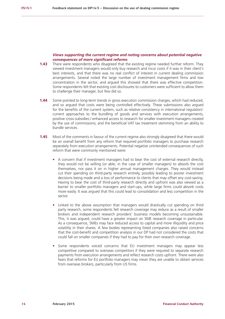#### *Views supporting the current regime and noting concerns about potential negative consequences of more significant reforms*

- **1.43** There were respondents who disagreed that the existing regime needed further reform. They viewed investment managers would only buy research and incur costs if it was in their client's best interests, and that there was no real conflict of interest in current dealing commission arrangements. Several noted the large number of investment management firms and low concentration in the sector, and argued this showed that there was effective competition. Some respondents felt that existing cost disclosures to customers were sufficient to allow them to challenge their manager, but few did so.
- **1.44** Some pointed to long-term trends in gross execution commission charges, which had reduced, and so argued that costs were being controlled effectively. These submissions also argued for the benefits of the current system, such as relative consistency in international regulators' current approaches to the bundling of goods and services with execution arrangements; positive cross-subsidies / enhanced access to research for smaller investment managers created by the use of commissions; and the beneficial VAT tax treatment stemming from an ability to bundle services.
- **1.45** Most of the comments in favour of the current regime also strongly disagreed that there would be an overall benefit from any reform that required portfolio managers to purchase research separately from execution arrangements. Potential negative unintended consequences of such reform that were commonly mentioned were:
	- **•** A concern that if investment managers had to bear the cost of external research directly, they would not be willing (or able, in the case of smaller managers) to absorb the cost themselves, nor pass it on in higher annual management charges. They would instead cut their spending on third-party research entirely, possibly leading to poorer investment decisions being made and a loss of performance to clients that may offset any cost-saving. Having to bear the cost of third-party research directly and upfront was also viewed as a barrier to smaller portfolio managers and start-ups, while large firms could absorb costs more easily. It was argued that this could lead to consolidation and less competition in the sector.
	- **•** Linked to the above assumption that managers would drastically cut spending on third party research, some respondents felt research coverage may reduce as a result of smaller brokers and independent research providers' business models becoming unsustainable. This, it was argued, could have a greater impact on SME research coverage in particular. As a consequence, SMEs may face reduced access to capital and more illiquidity and price volatility in their shares. A few bodies representing listed companies also raised concerns that the cost-benefit and competition analysis in our DP had not considered the costs that could fall on smaller companies if they had to pay for their own research coverage.
	- **•** Some respondents voiced concerns that EU investment managers may appear less competitive compared to overseas competitors if they were required to separate research payments from execution arrangements and reflect research costs upfront. There were also fears that reforms for EU portfolio managers may mean they are unable to obtain services from overseas brokers, particularly from US firms.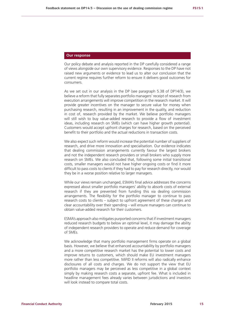#### **Our response**

Our policy debate and analysis reported in the DP carefully considered a range of views alongside our own supervisory evidence. Responses to the DP have not raised new arguments or evidence to lead us to alter our conclusion that the current regime requires further reform to ensure it delivers good outcomes for consumers.

As we set out in our analysis in the DP (see paragraph 5.38 of DP14/3), we believe a reform that fully separates portfolio managers' receipt of research from execution arrangements will improve competition in the research market. It will provide greater incentives on the manager to secure value for money when purchasing research, resulting in an improvement in the quality, and reduction in cost of, research provided by the market. We believe portfolio managers will still wish to buy value-added research to provide a flow of investment ideas, including research on SMEs (which can have higher growth potential). Customers would accept upfront charges for research, based on the perceived benefit to their portfolio and the actual reductions in transaction costs.

We also expect such reform would increase the potential number of suppliers of research, and drive more innovation and specialisation. Our evidence indicates that dealing commission arrangements currently favour the largest brokers and not the independent research providers or small brokers who supply more research on SMEs. We also concluded that, following some initial transitional costs, smaller managers would not have higher ongoing costs or find it more difficult to pass costs to clients if they had to pay for research directly, nor would they be in a worse position relative to larger managers.

While our views remain unchanged, ESMA's final advice addresses the concerns expressed about smaller portfolio managers' ability to absorb costs of external research if they are prevented from funding this via dealing commission arrangements. The flexibility for the portfolio manager to continue to pass research costs to clients – subject to upfront agreement of these charges and clear accountability over their spending – will ensure managers can continue to obtain value-added research for their customers.

ESMA's approach also mitigates purported concerns that if investment managers reduced research budgets to below an optimal level, it may damage the ability of independent research providers to operate and reduce demand for coverage of SMEs.

We acknowledge that many portfolio management firms operate on a global basis. However, we believe that enhanced accountability by portfolio managers and a more competitive research market has the potential to lower costs and improve returns to customers, which should make EU investment managers more rather than less competitive. MiFID II reforms will also radically enhance disclosures of all costs and charges. We do not support the view that EU portfolio managers may be perceived as less competitive in a global context simply by making research costs a separate, upfront fee. What is included in headline management fees already varies between jurisdictions and investors will look instead to compare total costs.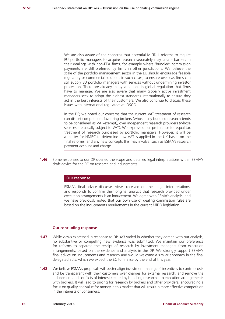We are also aware of the concerns that potential MiFID II reforms to require EU portfolio managers to acquire research separately may create barriers in their dealings with non-EEA firms, for example where 'bundled' commission payments are still preferred by firms in other jurisdictions. We believe the scale of the portfolio management sector in the EU should encourage feasible regulatory or commercial solutions in such cases, to ensure overseas firms can still supply EU portfolio managers with services without undermining investor protection. There are already many variations in global regulation that firms have to manage. We are also aware that many globally active investment managers seek to adopt the highest standards internationally to ensure they act in the best interests of their customers. We also continue to discuss these issues with international regulators at IOSCO.

In the DP, we noted our concerns that the current VAT treatment of research can distort competition, favouring brokers (whose fully bundled research tends to be considered as VAT-exempt), over independent research providers (whose services are usually subject to VAT). We expressed our preference for equal tax treatment of research purchased by portfolio managers. However, it will be a matter for HMRC to determine how VAT is applied in the UK based on the final reforms, and any new concepts this may involve, such as ESMA's research payment account and charge.

**1.46** Some responses to our DP queried the scope and detailed legal interpretations within ESMA's draft advice for the EC on research and inducements.

#### **Our response**

ESMA's final advice discusses views received on their legal interpretations, and responds to confirm their original analysis that research provided under execution arrangements is an inducement. We agree with ESMA's analysis, and we have previously noted that our own use of dealing commission rules are based on the inducements requirements in the current MiFID legislation.

#### **Our concluding response**

- **1.47** While views expressed in response to DP14/3 varied in whether they agreed with our analysis, no substantive or compelling new evidence was submitted. We maintain our preference for reforms to separate the receipt of research by investment managers from execution arrangements, based on the evidence and analysis in the DP. We strongly support ESMA's final advice on inducements and research and would welcome a similar approach in the final delegated acts, which we expect the EC to finalise by the end of this year.
- **1.48** We believe ESMA's proposals will better align investment managers' incentives to control costs and be transparent with their customers over charges for external research, and remove the inducement and conflicts of interest created by bundling research into execution arrangements with brokers. It will lead to pricing for research by brokers and other providers, encouraging a focus on quality and value for money in this market that will result in more effective competition in the interests of consumers.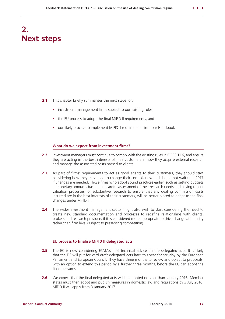### **2. Next steps**

- **2.1** This chapter briefly summarises the next steps for:
	- **•** investment management firms subject to our existing rules
	- **•** the EU process to adopt the final MiFID II requirements, and
	- **•** our likely process to implement MiFID II requirements into our Handbook

#### **What do we expect from investment firms?**

- **2.2** Investment managers must continue to comply with the existing rules in COBS 11.6, and ensure they are acting in the best interests of their customers in how they acquire external research and manage the associated costs passed to clients.
- **2.3** As part of firms' requirements to act as good agents to their customers, they should start considering how they may need to change their controls now and should not wait until 2017 if changes are needed. Those firms who adopt sound practices earlier, such as setting budgets in monetary amounts based on a careful assessment of their research needs and having robust valuation processes for substantive research to ensure that any dealing commission costs incurred are in the best interests of their customers, will be better placed to adapt to the final changes under MiFID II.
- **2.4** The wider investment management sector might also wish to start considering the need to create new standard documentation and processes to redefine relationships with clients, brokers and research providers if it is considered more appropriate to drive change at industry rather than firm level (subject to preserving competition).

#### **EU process to finalise MiFID II delegated acts**

- **2.5** The EC is now considering ESMA's final technical advice on the delegated acts. It is likely that the EC will put forward draft delegated acts later this year for scrutiny by the European Parliament and European Council. They have three months to review and object to proposals, with an option to extend this period by a further three months, before the EC can adopt the final measures.
- **2.6** We expect that the final delegated acts will be adopted no later than January 2016. Member states must then adopt and publish measures in domestic law and regulations by 3 July 2016. MiFID II will apply from 3 January 2017.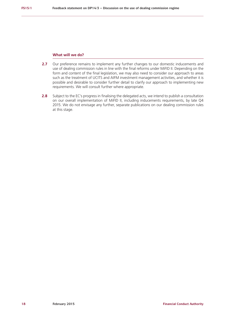#### **What will we do?**

- **2.7** Our preference remains to implement any further changes to our domestic inducements and use of dealing commission rules in line with the final reforms under MiFID II. Depending on the form and content of the final legislation, we may also need to consider our approach to areas such as the treatment of UCITS and AIFM investment management activities, and whether it is possible and desirable to consider further detail to clarify our approach to implementing new requirements. We will consult further where appropriate.
- **2.8** Subject to the EC's progress in finalising the delegated acts, we intend to publish a consultation on our overall implementation of MiFID II, including inducements requirements, by late Q4 2015. We do not envisage any further, separate publications on our dealing commission rules at this stage.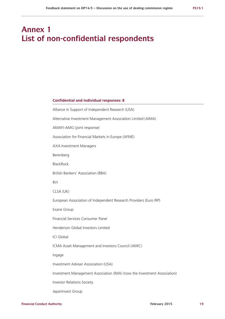### **Annex 1 List of non-confidential respondents**

#### **Confidential and individual responses: 8**

| Alliance in Support of Independent Research (USA)                        |  |  |
|--------------------------------------------------------------------------|--|--|
| Alternative Investment Management Association Limited (AIMA)             |  |  |
| AMAFI-AMG (joint response)                                               |  |  |
| Association for Financial Markets in Europe (AFME)                       |  |  |
| <b>AXA Investment Managers</b>                                           |  |  |
| Berenberg                                                                |  |  |
| <b>BlackRock</b>                                                         |  |  |
| British Bankers' Association (BBA)                                       |  |  |
| <b>BVI</b>                                                               |  |  |
| CLSA (UK)                                                                |  |  |
| European Association of Independent Research Providers (Euro IRP)        |  |  |
| Exane Group                                                              |  |  |
| Financial Services Consumer Panel                                        |  |  |
| Henderson Global Investors Limited                                       |  |  |
| <b>ICI Global</b>                                                        |  |  |
| ICMA Asset Management and Investors Council (AMIC)                       |  |  |
| Ingage                                                                   |  |  |
| Investment Adviser Association (USA)                                     |  |  |
| Investment Management Association (IMA) (now the Investment Association) |  |  |
| <b>Investor Relations Society</b>                                        |  |  |
| Japaninvest Group                                                        |  |  |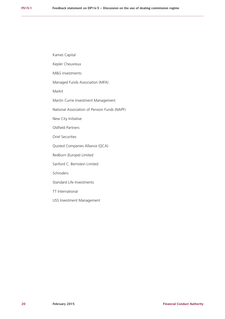Kames Capital

Kepler Cheuvreux

M&G Investments

Managed Funds Association (MFA)

Markit

Martin Currie Investment Management

National Association of Pension Funds (NAPF)

New City Initiative

Oldfield Partners

Oriel Securities

Quoted Companies Alliance (QCA)

Redburn (Europe) Limited

Sanford C. Bernstein Limited

Schroders

Standard Life Investments

TT International

USS Investment Management